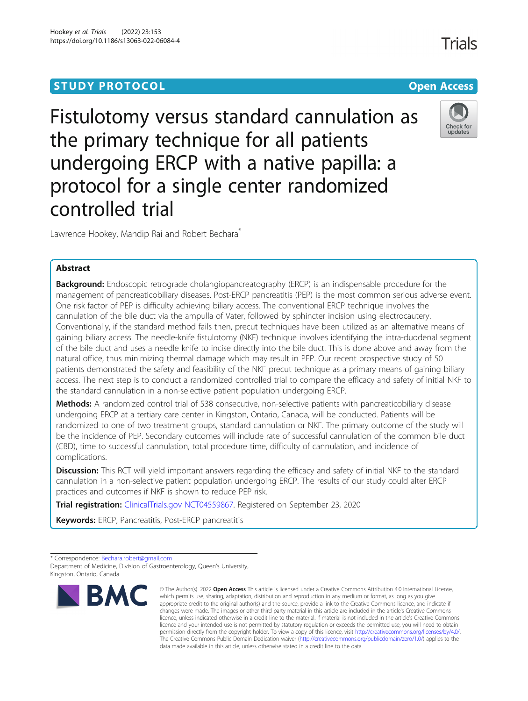# **STUDY PROTOCOL CONSUMING THE RESERVE ACCESS**

Fistulotomy versus standard cannulation as the primary technique for all patients undergoing ERCP with a native papilla: a protocol for a single center randomized controlled trial

Lawrence Hookey, Mandip Rai and Robert Bechara<sup>\*</sup>

## Abstract

**Background:** Endoscopic retrograde cholangiopancreatography (ERCP) is an indispensable procedure for the management of pancreaticobiliary diseases. Post-ERCP pancreatitis (PEP) is the most common serious adverse event. One risk factor of PEP is difficulty achieving biliary access. The conventional ERCP technique involves the cannulation of the bile duct via the ampulla of Vater, followed by sphincter incision using electrocautery. Conventionally, if the standard method fails then, precut techniques have been utilized as an alternative means of gaining biliary access. The needle-knife fistulotomy (NKF) technique involves identifying the intra-duodenal segment of the bile duct and uses a needle knife to incise directly into the bile duct. This is done above and away from the natural office, thus minimizing thermal damage which may result in PEP. Our recent prospective study of 50 patients demonstrated the safety and feasibility of the NKF precut technique as a primary means of gaining biliary access. The next step is to conduct a randomized controlled trial to compare the efficacy and safety of initial NKF to the standard cannulation in a non-selective patient population undergoing ERCP.

Methods: A randomized control trial of 538 consecutive, non-selective patients with pancreaticobiliary disease undergoing ERCP at a tertiary care center in Kingston, Ontario, Canada, will be conducted. Patients will be randomized to one of two treatment groups, standard cannulation or NKF. The primary outcome of the study will be the incidence of PEP. Secondary outcomes will include rate of successful cannulation of the common bile duct (CBD), time to successful cannulation, total procedure time, difficulty of cannulation, and incidence of complications.

**Discussion:** This RCT will yield important answers regarding the efficacy and safety of initial NKF to the standard cannulation in a non-selective patient population undergoing ERCP. The results of our study could alter ERCP practices and outcomes if NKF is shown to reduce PEP risk.

**Trial registration:** [ClinicalTrials.gov](http://clinicaltrials.gov) [NCT04559867](https://clinicaltrials.gov/ct2/show/NCT04559867?term=bechara&draw=2&rank=2). Registered on September 23, 2020

Keywords: ERCP, Pancreatitis, Post-ERCP pancreatitis



<sup>©</sup> The Author(s), 2022 **Open Access** This article is licensed under a Creative Commons Attribution 4.0 International License, which permits use, sharing, adaptation, distribution and reproduction in any medium or format, as long as you give appropriate credit to the original author(s) and the source, provide a link to the Creative Commons licence, and indicate if changes were made. The images or other third party material in this article are included in the article's Creative Commons licence, unless indicated otherwise in a credit line to the material. If material is not included in the article's Creative Commons licence and your intended use is not permitted by statutory regulation or exceeds the permitted use, you will need to obtain permission directly from the copyright holder. To view a copy of this licence, visit [http://creativecommons.org/licenses/by/4.0/.](http://creativecommons.org/licenses/by/4.0/) The Creative Commons Public Domain Dedication waiver [\(http://creativecommons.org/publicdomain/zero/1.0/](http://creativecommons.org/publicdomain/zero/1.0/)) applies to the data made available in this article, unless otherwise stated in a credit line to the data.





<sup>\*</sup> Correspondence: [Bechara.robert@gmail.com](mailto:Bechara.robert@gmail.com) Department of Medicine, Division of Gastroenterology, Queen's University, Kingston, Ontario, Canada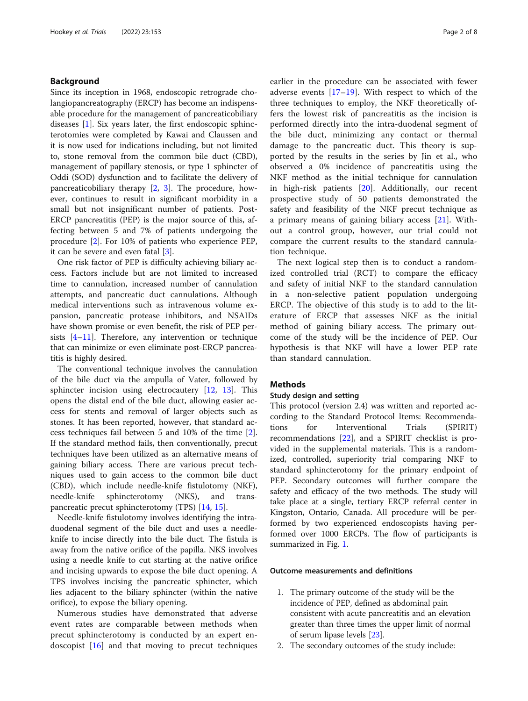## Background

Since its inception in 1968, endoscopic retrograde cholangiopancreatography (ERCP) has become an indispensable procedure for the management of pancreaticobiliary diseases [[1\]](#page-6-0). Six years later, the first endoscopic sphincterotomies were completed by Kawai and Claussen and it is now used for indications including, but not limited to, stone removal from the common bile duct (CBD), management of papillary stenosis, or type 1 sphincter of Oddi (SOD) dysfunction and to facilitate the delivery of pancreaticobiliary therapy [[2,](#page-6-0) [3\]](#page-6-0). The procedure, however, continues to result in significant morbidity in a small but not insignificant number of patients. Post-ERCP pancreatitis (PEP) is the major source of this, affecting between 5 and 7% of patients undergoing the procedure [[2\]](#page-6-0). For 10% of patients who experience PEP, it can be severe and even fatal  $[3]$  $[3]$ .

One risk factor of PEP is difficulty achieving biliary access. Factors include but are not limited to increased time to cannulation, increased number of cannulation attempts, and pancreatic duct cannulations. Although medical interventions such as intravenous volume expansion, pancreatic protease inhibitors, and NSAIDs have shown promise or even benefit, the risk of PEP persists  $[4-11]$  $[4-11]$  $[4-11]$ . Therefore, any intervention or technique that can minimize or even eliminate post-ERCP pancreatitis is highly desired.

The conventional technique involves the cannulation of the bile duct via the ampulla of Vater, followed by sphincter incision using electrocautery [\[12,](#page-7-0) [13\]](#page-7-0). This opens the distal end of the bile duct, allowing easier access for stents and removal of larger objects such as stones. It has been reported, however, that standard access techniques fail between 5 and 10% of the time [\[2](#page-6-0)]. If the standard method fails, then conventionally, precut techniques have been utilized as an alternative means of gaining biliary access. There are various precut techniques used to gain access to the common bile duct (CBD), which include needle-knife fistulotomy (NKF), needle-knife sphincterotomy (NKS), and transpancreatic precut sphincterotomy (TPS) [\[14,](#page-7-0) [15\]](#page-7-0).

Needle-knife fistulotomy involves identifying the intraduodenal segment of the bile duct and uses a needleknife to incise directly into the bile duct. The fistula is away from the native orifice of the papilla. NKS involves using a needle knife to cut starting at the native orifice and incising upwards to expose the bile duct opening. A TPS involves incising the pancreatic sphincter, which lies adjacent to the biliary sphincter (within the native orifice), to expose the biliary opening.

Numerous studies have demonstrated that adverse event rates are comparable between methods when precut sphincterotomy is conducted by an expert endoscopist [\[16](#page-7-0)] and that moving to precut techniques earlier in the procedure can be associated with fewer adverse events [\[17](#page-7-0)–[19](#page-7-0)]. With respect to which of the three techniques to employ, the NKF theoretically offers the lowest risk of pancreatitis as the incision is performed directly into the intra-duodenal segment of the bile duct, minimizing any contact or thermal damage to the pancreatic duct. This theory is supported by the results in the series by Jin et al., who observed a 0% incidence of pancreatitis using the NKF method as the initial technique for cannulation in high-risk patients [[20\]](#page-7-0). Additionally, our recent prospective study of 50 patients demonstrated the safety and feasibility of the NKF precut technique as a primary means of gaining biliary access [[21\]](#page-7-0). Without a control group, however, our trial could not compare the current results to the standard cannulation technique.

The next logical step then is to conduct a randomized controlled trial (RCT) to compare the efficacy and safety of initial NKF to the standard cannulation in a non-selective patient population undergoing ERCP. The objective of this study is to add to the literature of ERCP that assesses NKF as the initial method of gaining biliary access. The primary outcome of the study will be the incidence of PEP. Our hypothesis is that NKF will have a lower PEP rate than standard cannulation.

### Methods

## Study design and setting

This protocol (version 2.4) was written and reported according to the Standard Protocol Items: Recommendations for Interventional Trials (SPIRIT) recommendations [\[22\]](#page-7-0), and a SPIRIT checklist is provided in the supplemental materials. This is a randomized, controlled, superiority trial comparing NKF to standard sphincterotomy for the primary endpoint of PEP. Secondary outcomes will further compare the safety and efficacy of the two methods. The study will take place at a single, tertiary ERCP referral center in Kingston, Ontario, Canada. All procedure will be performed by two experienced endoscopists having performed over 1000 ERCPs. The flow of participants is summarized in Fig. [1.](#page-2-0)

## Outcome measurements and definitions

- 1. The primary outcome of the study will be the incidence of PEP, defined as abdominal pain consistent with acute pancreatitis and an elevation greater than three times the upper limit of normal of serum lipase levels [[23\]](#page-7-0).
- 2. The secondary outcomes of the study include: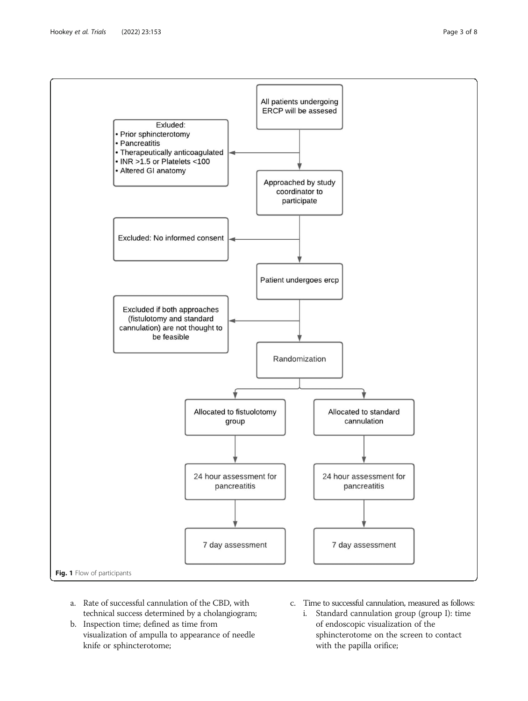<span id="page-2-0"></span>

- a. Rate of successful cannulation of the CBD, with technical success determined by a cholangiogram;
- b. Inspection time; defined as time from visualization of ampulla to appearance of needle knife or sphincterotome;
- c. Time to successful cannulation, measured as follows:
	- i. Standard cannulation group (group I): time of endoscopic visualization of the sphincterotome on the screen to contact with the papilla orifice;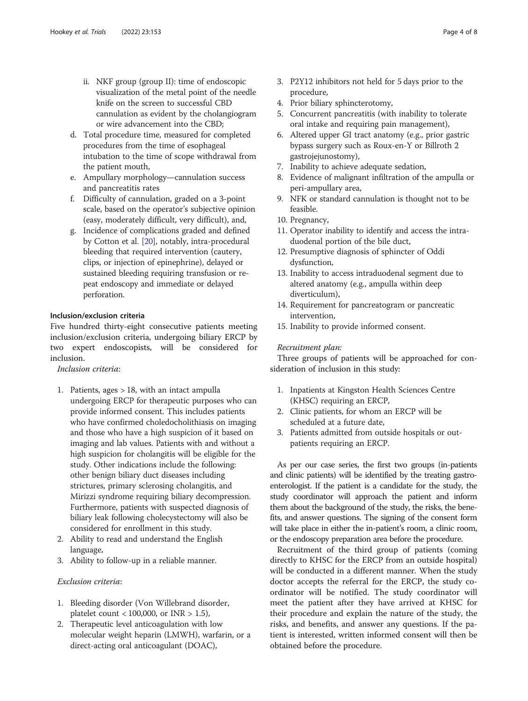- ii. NKF group (group II): time of endoscopic visualization of the metal point of the needle knife on the screen to successful CBD cannulation as evident by the cholangiogram or wire advancement into the CBD;
- d. Total procedure time, measured for completed procedures from the time of esophageal intubation to the time of scope withdrawal from the patient mouth,
- e. Ampullary morphology—cannulation success and pancreatitis rates
- f. Difficulty of cannulation, graded on a 3-point scale, based on the operator's subjective opinion (easy, moderately difficult, very difficult), and,
- g. Incidence of complications graded and defined by Cotton et al. [[20\]](#page-7-0), notably, intra-procedural bleeding that required intervention (cautery, clips, or injection of epinephrine), delayed or sustained bleeding requiring transfusion or repeat endoscopy and immediate or delayed perforation.

## Inclusion/exclusion criteria

Five hundred thirty-eight consecutive patients meeting inclusion/exclusion criteria, undergoing biliary ERCP by two expert endoscopists, will be considered for inclusion.

Inclusion criteria:

- 1. Patients, ages > 18, with an intact ampulla undergoing ERCP for therapeutic purposes who can provide informed consent. This includes patients who have confirmed choledocholithiasis on imaging and those who have a high suspicion of it based on imaging and lab values. Patients with and without a high suspicion for cholangitis will be eligible for the study. Other indications include the following: other benign biliary duct diseases including strictures, primary sclerosing cholangitis, and Mirizzi syndrome requiring biliary decompression. Furthermore, patients with suspected diagnosis of biliary leak following cholecystectomy will also be considered for enrollment in this study.
- 2. Ability to read and understand the English language,
- 3. Ability to follow-up in a reliable manner.

## Exclusion criteria:

- 1. Bleeding disorder (Von Willebrand disorder, platelet count < 100,000, or INR > 1.5),
- 2. Therapeutic level anticoagulation with low molecular weight heparin (LMWH), warfarin, or a direct-acting oral anticoagulant (DOAC),
- 3. P2Y12 inhibitors not held for 5 days prior to the procedure,
- 4. Prior biliary sphincterotomy,
- 5. Concurrent pancreatitis (with inability to tolerate oral intake and requiring pain management),
- 6. Altered upper GI tract anatomy (e.g., prior gastric bypass surgery such as Roux-en-Y or Billroth 2 gastrojejunostomy),
- 7. Inability to achieve adequate sedation,
- 8. Evidence of malignant infiltration of the ampulla or peri-ampullary area,
- 9. NFK or standard cannulation is thought not to be feasible.
- 10. Pregnancy,
- 11. Operator inability to identify and access the intraduodenal portion of the bile duct,
- 12. Presumptive diagnosis of sphincter of Oddi dysfunction,
- 13. Inability to access intraduodenal segment due to altered anatomy (e.g., ampulla within deep diverticulum),
- 14. Requirement for pancreatogram or pancreatic intervention,
- 15. Inability to provide informed consent.

## Recruitment plan:

Three groups of patients will be approached for consideration of inclusion in this study:

- 1. Inpatients at Kingston Health Sciences Centre (KHSC) requiring an ERCP,
- 2. Clinic patients, for whom an ERCP will be scheduled at a future date,
- 3. Patients admitted from outside hospitals or outpatients requiring an ERCP.

As per our case series, the first two groups (in-patients and clinic patients) will be identified by the treating gastroenterologist. If the patient is a candidate for the study, the study coordinator will approach the patient and inform them about the background of the study, the risks, the benefits, and answer questions. The signing of the consent form will take place in either the in-patient's room, a clinic room, or the endoscopy preparation area before the procedure.

Recruitment of the third group of patients (coming directly to KHSC for the ERCP from an outside hospital) will be conducted in a different manner. When the study doctor accepts the referral for the ERCP, the study coordinator will be notified. The study coordinator will meet the patient after they have arrived at KHSC for their procedure and explain the nature of the study, the risks, and benefits, and answer any questions. If the patient is interested, written informed consent will then be obtained before the procedure.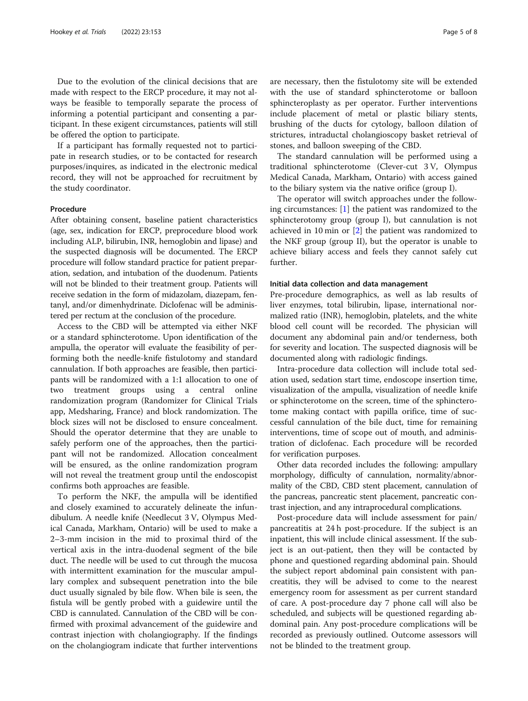Due to the evolution of the clinical decisions that are made with respect to the ERCP procedure, it may not always be feasible to temporally separate the process of informing a potential participant and consenting a participant. In these exigent circumstances, patients will still be offered the option to participate.

If a participant has formally requested not to participate in research studies, or to be contacted for research purposes/inquires, as indicated in the electronic medical record, they will not be approached for recruitment by the study coordinator.

## Procedure

After obtaining consent, baseline patient characteristics (age, sex, indication for ERCP, preprocedure blood work including ALP, bilirubin, INR, hemoglobin and lipase) and the suspected diagnosis will be documented. The ERCP procedure will follow standard practice for patient preparation, sedation, and intubation of the duodenum. Patients will not be blinded to their treatment group. Patients will receive sedation in the form of midazolam, diazepam, fentanyl, and/or dimenhydrinate. Diclofenac will be administered per rectum at the conclusion of the procedure.

Access to the CBD will be attempted via either NKF or a standard sphincterotome. Upon identification of the ampulla, the operator will evaluate the feasibility of performing both the needle-knife fistulotomy and standard cannulation. If both approaches are feasible, then participants will be randomized with a 1:1 allocation to one of two treatment groups using a central online randomization program (Randomizer for Clinical Trials app, Medsharing, France) and block randomization. The block sizes will not be disclosed to ensure concealment. Should the operator determine that they are unable to safely perform one of the approaches, then the participant will not be randomized. Allocation concealment will be ensured, as the online randomization program will not reveal the treatment group until the endoscopist confirms both approaches are feasible.

To perform the NKF, the ampulla will be identified and closely examined to accurately delineate the infundibulum. A needle knife (Needlecut 3 V, Olympus Medical Canada, Markham, Ontario) will be used to make a 2–3-mm incision in the mid to proximal third of the vertical axis in the intra-duodenal segment of the bile duct. The needle will be used to cut through the mucosa with intermittent examination for the muscular ampullary complex and subsequent penetration into the bile duct usually signaled by bile flow. When bile is seen, the fistula will be gently probed with a guidewire until the CBD is cannulated. Cannulation of the CBD will be confirmed with proximal advancement of the guidewire and contrast injection with cholangiography. If the findings on the cholangiogram indicate that further interventions are necessary, then the fistulotomy site will be extended with the use of standard sphincterotome or balloon sphincteroplasty as per operator. Further interventions include placement of metal or plastic biliary stents, brushing of the ducts for cytology, balloon dilation of strictures, intraductal cholangioscopy basket retrieval of stones, and balloon sweeping of the CBD.

The standard cannulation will be performed using a traditional sphincterotome (Clever-cut 3 V, Olympus Medical Canada, Markham, Ontario) with access gained to the biliary system via the native orifice (group I).

The operator will switch approaches under the following circumstances: [[1\]](#page-6-0) the patient was randomized to the sphincterotomy group (group I), but cannulation is not achieved in 10 min or [[2\]](#page-6-0) the patient was randomized to the NKF group (group II), but the operator is unable to achieve biliary access and feels they cannot safely cut further.

#### Initial data collection and data management

Pre-procedure demographics, as well as lab results of liver enzymes, total bilirubin, lipase, international normalized ratio (INR), hemoglobin, platelets, and the white blood cell count will be recorded. The physician will document any abdominal pain and/or tenderness, both for severity and location. The suspected diagnosis will be documented along with radiologic findings.

Intra-procedure data collection will include total sedation used, sedation start time, endoscope insertion time, visualization of the ampulla, visualization of needle knife or sphincterotome on the screen, time of the sphincterotome making contact with papilla orifice, time of successful cannulation of the bile duct, time for remaining interventions, time of scope out of mouth, and administration of diclofenac. Each procedure will be recorded for verification purposes.

Other data recorded includes the following: ampullary morphology, difficulty of cannulation, normality/abnormality of the CBD, CBD stent placement, cannulation of the pancreas, pancreatic stent placement, pancreatic contrast injection, and any intraprocedural complications.

Post-procedure data will include assessment for pain/ pancreatitis at 24 h post-procedure. If the subject is an inpatient, this will include clinical assessment. If the subject is an out-patient, then they will be contacted by phone and questioned regarding abdominal pain. Should the subject report abdominal pain consistent with pancreatitis, they will be advised to come to the nearest emergency room for assessment as per current standard of care. A post-procedure day 7 phone call will also be scheduled, and subjects will be questioned regarding abdominal pain. Any post-procedure complications will be recorded as previously outlined. Outcome assessors will not be blinded to the treatment group.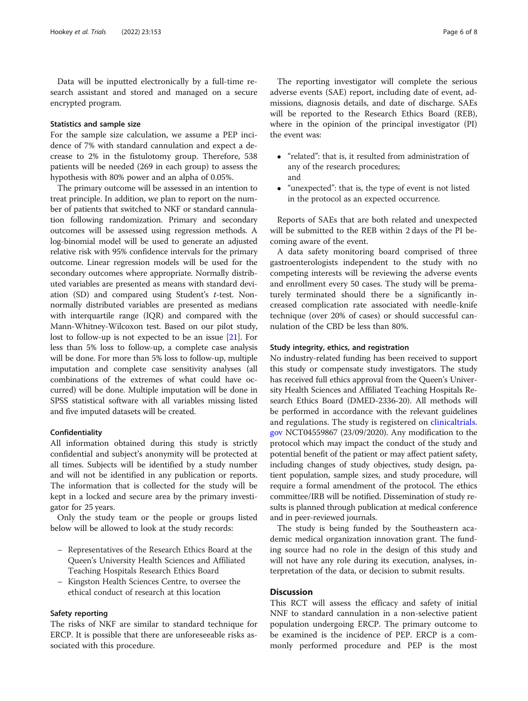Data will be inputted electronically by a full-time research assistant and stored and managed on a secure encrypted program.

## Statistics and sample size

For the sample size calculation, we assume a PEP incidence of 7% with standard cannulation and expect a decrease to 2% in the fistulotomy group. Therefore, 538 patients will be needed (269 in each group) to assess the hypothesis with 80% power and an alpha of 0.05%.

The primary outcome will be assessed in an intention to treat principle. In addition, we plan to report on the number of patients that switched to NKF or standard cannulation following randomization. Primary and secondary outcomes will be assessed using regression methods. A log-binomial model will be used to generate an adjusted relative risk with 95% confidence intervals for the primary outcome. Linear regression models will be used for the secondary outcomes where appropriate. Normally distributed variables are presented as means with standard deviation (SD) and compared using Student's t-test. Nonnormally distributed variables are presented as medians with interquartile range (IQR) and compared with the Mann-Whitney-Wilcoxon test. Based on our pilot study, lost to follow-up is not expected to be an issue [\[21](#page-7-0)]. For less than 5% loss to follow-up, a complete case analysis will be done. For more than 5% loss to follow-up, multiple imputation and complete case sensitivity analyses (all combinations of the extremes of what could have occurred) will be done. Multiple imputation will be done in SPSS statistical software with all variables missing listed and five imputed datasets will be created.

#### Confidentiality

All information obtained during this study is strictly confidential and subject's anonymity will be protected at all times. Subjects will be identified by a study number and will not be identified in any publication or reports. The information that is collected for the study will be kept in a locked and secure area by the primary investigator for 25 years.

Only the study team or the people or groups listed below will be allowed to look at the study records:

- Representatives of the Research Ethics Board at the Queen's University Health Sciences and Affiliated Teaching Hospitals Research Ethics Board
- Kingston Health Sciences Centre, to oversee the ethical conduct of research at this location

## Safety reporting

The risks of NKF are similar to standard technique for ERCP. It is possible that there are unforeseeable risks associated with this procedure.

The reporting investigator will complete the serious adverse events (SAE) report, including date of event, admissions, diagnosis details, and date of discharge. SAEs will be reported to the Research Ethics Board (REB), where in the opinion of the principal investigator (PI) the event was:

- "related": that is, it resulted from administration of any of the research procedures; and
- "unexpected": that is, the type of event is not listed in the protocol as an expected occurrence.

Reports of SAEs that are both related and unexpected will be submitted to the REB within 2 days of the PI becoming aware of the event.

A data safety monitoring board comprised of three gastroenterologists independent to the study with no competing interests will be reviewing the adverse events and enrollment every 50 cases. The study will be prematurely terminated should there be a significantly increased complication rate associated with needle-knife technique (over 20% of cases) or should successful cannulation of the CBD be less than 80%.

## Study integrity, ethics, and registration

No industry-related funding has been received to support this study or compensate study investigators. The study has received full ethics approval from the Queen's University Health Sciences and Affiliated Teaching Hospitals Research Ethics Board (DMED-2336-20). All methods will be performed in accordance with the relevant guidelines and regulations. The study is registered on [clinicaltrials.](http://clinicaltrials.gov) [gov](http://clinicaltrials.gov) NCT04559867 (23/09/2020). Any modification to the protocol which may impact the conduct of the study and potential benefit of the patient or may affect patient safety, including changes of study objectives, study design, patient population, sample sizes, and study procedure, will require a formal amendment of the protocol. The ethics committee/IRB will be notified. Dissemination of study results is planned through publication at medical conference and in peer-reviewed journals.

The study is being funded by the Southeastern academic medical organization innovation grant. The funding source had no role in the design of this study and will not have any role during its execution, analyses, interpretation of the data, or decision to submit results.

### **Discussion**

This RCT will assess the efficacy and safety of initial NNF to standard cannulation in a non-selective patient population undergoing ERCP. The primary outcome to be examined is the incidence of PEP. ERCP is a commonly performed procedure and PEP is the most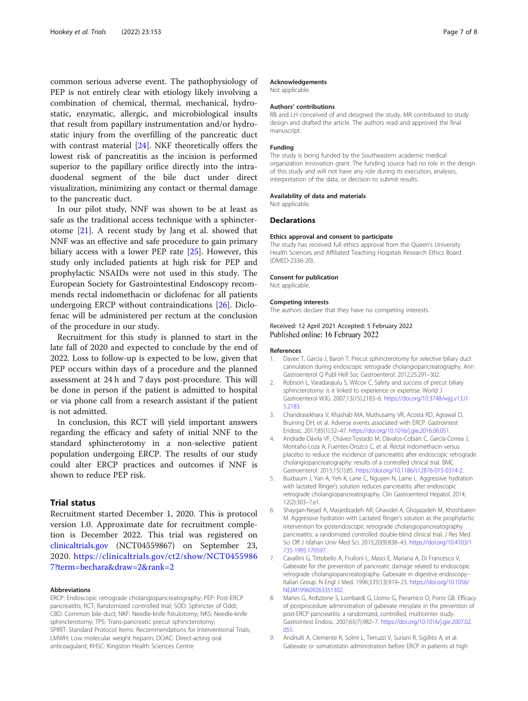<span id="page-6-0"></span>common serious adverse event. The pathophysiology of PEP is not entirely clear with etiology likely involving a combination of chemical, thermal, mechanical, hydrostatic, enzymatic, allergic, and microbiological insults that result from papillary instrumentation and/or hydrostatic injury from the overfilling of the pancreatic duct with contrast material [[24](#page-7-0)]. NKF theoretically offers the lowest risk of pancreatitis as the incision is performed superior to the papillary orifice directly into the intraduodenal segment of the bile duct under direct visualization, minimizing any contact or thermal damage to the pancreatic duct.

In our pilot study, NNF was shown to be at least as safe as the traditional access technique with a sphincterotome [\[21](#page-7-0)]. A recent study by Jang et al. showed that NNF was an effective and safe procedure to gain primary biliary access with a lower PEP rate [\[25](#page-7-0)]. However, this study only included patients at high risk for PEP and prophylactic NSAIDs were not used in this study. The European Society for Gastrointestinal Endoscopy recommends rectal indomethacin or diclofenac for all patients undergoing ERCP without contraindications [[26](#page-7-0)]. Diclofenac will be administered per rectum at the conclusion of the procedure in our study.

Recruitment for this study is planned to start in the late fall of 2020 and expected to conclude by the end of 2022. Loss to follow-up is expected to be low, given that PEP occurs within days of a procedure and the planned assessment at 24 h and 7 days post-procedure. This will be done in person if the patient is admitted to hospital or via phone call from a research assistant if the patient is not admitted.

In conclusion, this RCT will yield important answers regarding the efficacy and safety of initial NNF to the standard sphincterotomy in a non-selective patient population undergoing ERCP. The results of our study could alter ERCP practices and outcomes if NNF is shown to reduce PEP risk.

## Trial status

Recruitment started December 1, 2020. This is protocol version 1.0. Approximate date for recruitment completion is December 2022. This trial was registered on [clinicaltrials.gov](http://clinicaltrials.gov) (NCT04559867) on September 23, 2020. [https://clinicaltrials.gov/ct2/show/NCT0455986](https://clinicaltrials.gov/ct2/show/NCT04559867?term=bechara&draw=2&rank=2) [7?term=bechara&draw=2&rank=2](https://clinicaltrials.gov/ct2/show/NCT04559867?term=bechara&draw=2&rank=2)

#### Abbreviations

ERCP: Endoscopic retrograde cholangiopancreatography; PEP: Post-ERCP pancreatitis; RCT: Randomized controlled trial; SOD: Sphincter of Oddi; CBD: Common bile duct; NKF: Needle-knife fistulotomy; NKS: Needle-knife sphincterotomy; TPS: Trans-pancreatic precut sphincterotomy; SPIRIT: Standard Protocol Items: Recommendations for Interventional Trials; LMWH: Low molecular weight heparin; DOAC: Direct-acting oral anticoagulant; KHSC: Kingston Health Sciences Centre

#### Acknowledgements

Not applicable.

#### Authors' contributions

RB and LH conceived of and designed the study. MR contributed to study design and drafted the article. The authors read and approved the final manuscript.

#### Funding

The study is being funded by the Southeastern academic medical organization innovation grant. The funding source had no role in the design of this study and will not have any role during its execution, analyses, interpretation of the data, or decision to submit results.

#### Availability of data and materials

Not applicable.

#### **Declarations**

#### Ethics approval and consent to participate

The study has received full ethics approval from the Queen's University Health Sciences and Affiliated Teaching Hospitals Research Ethics Board (DMED-2336-20).

#### Consent for publication

Not applicable.

#### Competing interests

The authors declare that they have no competing interests.

Received: 12 April 2021 Accepted: 5 February 2022 Published online: 16 February 2022

#### References

- 1. Davee T, Garcia J, Baron T. Precut sphincterotomy for selective biliary duct cannulation during endoscopic retrograde cholangiopancreatography. Ann Gastroenterol Q Publ Hell Soc Gastroenterol. 2012;25:291–302.
- 2. Robison L, Varadarajulu S, Wilcox C. Safety and success of precut biliary sphincterotomy: is it linked to experience or expertise. World J Gastroenterol WJG. 2007;13(15):2183–6. [https://doi.org/10.3748/wjg.v13.i1](https://doi.org/10.3748/wjg.v13.i15.2183) [5.2183](https://doi.org/10.3748/wjg.v13.i15.2183).
- 3. Chandrasekhara V, Khashab MA, Muthusamy VR, Acosta RD, Agrawal D, Bruining DH, et al. Adverse events associated with ERCP. Gastrointest Endosc. 2017;85(1):32–47. [https://doi.org/10.1016/j.gie.2016.06.051.](https://doi.org/10.1016/j.gie.2016.06.051)
- 4. Andrade-Dávila VF, Chávez-Tostado M, Dávalos-Cobián C, García-Correa J, Montaño-Loza A, Fuentes-Orozco C, et al. Rectal indomethacin versus placebo to reduce the incidence of pancreatitis after endoscopic retrograde cholangiopancreatography: results of a controlled clinical trial. BMC Gastroenterol. 2015;15(1):85. [https://doi.org/10.1186/s12876-015-0314-2.](https://doi.org/10.1186/s12876-015-0314-2)
- 5. Buxbaum J, Yan A, Yeh K, Lane C, Nguyen N, Laine L. Aggressive hydration with lactated Ringer's solution reduces pancreatitis after endoscopic retrograde cholangiopancreatography. Clin Gastroenterol Hepatol. 2014; 12(2):303–7.e1.
- 6. Shaygan-Nejad A, Masjedizadeh AR, Ghavidel A, Ghojazadeh M, Khoshbaten M. Aggressive hydration with Lactated Ringer's solution as the prophylactic intervention for postendoscopic retrograde cholangiopancreatography pancreatitis: a randomized controlled double-blind clinical trial. J Res Med Sci Off J Isfahan Univ Med Sci. 2015;20(9):838–43. [https://doi.org/10.4103/1](https://doi.org/10.4103/1735-1995.170597) [735-1995.170597](https://doi.org/10.4103/1735-1995.170597).
- 7. Cavallini G, Tittobello A, Frulloni L, Masci E, Mariana A, Di Francesco V. Gabexate for the prevention of pancreatic damage related to endoscopic retrograde cholangiopancreatography. Gabexate in digestive endoscopy-- Italian Group. N Engl J Med. 1996;335(13):919–23. [https://doi.org/10.1056/](https://doi.org/10.1056/NEJM199609263351302) [NEJM199609263351302.](https://doi.org/10.1056/NEJM199609263351302)
- 8. Manes G, Ardizzone S, Lombardi G, Uomo G, Pieramico O, Porro GB. Efficacy of postprocedure administration of gabexate mesylate in the prevention of post-ERCP pancreatitis: a randomized, controlled, multicenter study. Gastrointest Endosc. 2007;65(7):982–7. [https://doi.org/10.1016/j.gie.2007.02.](https://doi.org/10.1016/j.gie.2007.02.055) [055.](https://doi.org/10.1016/j.gie.2007.02.055)
- 9. Andriulli A, Clemente R, Solmi L, Terruzzi V, Suriani R, Sigillito A, et al. Gabexate or somatostatin administration before ERCP in patients at high